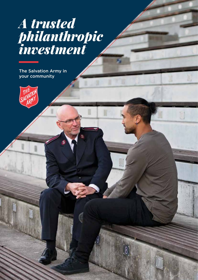# *A trusted philanthropic investment*

The Salvation Army in your community

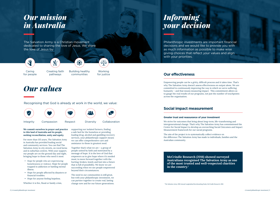### *Our mission in Australia*

The Salvation Army is a Christian movement dedicated to sharing the love of Jesus. We share the love of Jesus by:



### *Our values*

Recognising that God is already at work in the world, we value:



#### **We commit ourselves in prayer and practice to this land of Australia and its people, seeking reconciliation, unity and equity.**

For more than 135 years, The Salvation Army in Australia has provided leading social and community services. You can find The Salvation Army in city streets, on rural farms and in suburban centres. With your support, our people are on the ground day and night, bringing hope to those who need it most:

- Hope for people who are experiencing homelessness or violence. Hope for people trapped in addiction or battling mental illness.
- Hope for people affected by disasters or financial troubles.
- Hope for anyone feeling hopeless.

Whether it is fire, flood or family crisis,

supporting our isolated farmers, finding a safe bed for the homeless or providing leading drug, alcohol and gambling recovery services, your philanthropic support means we can offer comprehensive care and assistance to those in greatest need.

Together that's what we are – a group of people united by faith and motivated by a message of hope. It is the love of God that empowers us to give hope where it's needed most; to move forward together with the hurting, broken, lonely and lost into a future that is full of possibility. We know we are succeeding when we see people empowered beyond their circumstances.

The need in our communities is still great, but with your philanthropic investment, we can partner together to create real, lasting change now and for our future generations. <sup>1</sup>

Caring for people



Building healthy communities

\$

Working for justice

 $\Phi$ 

Creating faith pathways

## *Informing your decision*

Philanthropic investments are important financial decisions and we would like to provide you with as much information as possible to make wise giving choices that reflect your values and align with your priorities.

**McCrindle Research (2016) showed surveyed Australians recognised The Salvation Army as one of the most trusted and well-respected charities in the country.1**

```
<sup>1</sup> The Salvation Army, 2016 Annual Longitudinal Benchmarking Study, McCrindle Research, 2016
```
### **Our effectiveness**

Empowering people can be a gritty, difficult process and it takes time. That's why The Salvation Army doesn't assess effectiveness on output alone. We are committed to continuously improving the way in which we serve suffering humanity – and that means measuring impact. This commitment allows us to gauge the real results of our programs, not just the number of touchpoints across the organisation.

### **Social impact measurement**

#### **Greater trust and reassurance of your investment**

We strive for outcomes that bring about long-term, life-transforming and intergenerational change. That's why The Salvation Army has commissioned the Centre for Social Impact to develop an overarching Social Outcomes and Impact Measurement framework for our social programs.

The aim of the project is to systematically collect evidence on the difference The Salvation Army has made to individuals, families and the Australian community.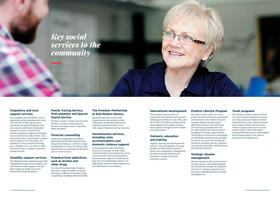#### **Chaplaincy and rural support services**

Our chaplains provide holistic care to individuals facing hardships and crises. They do this by offering practical, emotional and spiritual support, and can connect individuals to specialist support services as required. We provide chaplaincy support in hospitals, courts and prisons, clubs, hotels, rural and remote areas, communities, schools and emergency services (police, fire, ambulance). They provide a listening ear, a shoulder to cry on and it is often noted that when a chaplain is present, people feel safe.

#### **Disability support services**

The Salvation Army supports people with a disability through accommodation and case-based in-home support. We also offer respite for family and carers, and social inclusion programs.

#### **Family Tracing Service, Post-adoption and Special Search Service**

We find, connect, reunite and reconcile families to reopen communication between estranged and/or separated family members.

#### **Financial counselling**

Financial counselling is provided to individuals and families experiencing financial hardship as a result of a range of difficulties or crises. We also provide financial literacy training and education, and no-interest loans.

#### **Freedom from addictions, such as alcohol and other drugs**

Our award-winning Bridge Program provides a range of support to people affected by addiction to alcohol, drugs or gambling, including affected families.

#### **The Freedom Partnership to End Modern Slavery**

By partnering with various levels of government and members of the community, we identify, address and respond to all forms of slavery in a wide range of industries across Australia.

#### **Homelessness services, including crisis accommodation and domestic violence support**

As the largest provider of housing services in Australia, we have many varied responses to housing stress. From outreach work, crisis accommodation and immediate support to medium and long-term accommodation options, we help people maintain stable employment and affordable accommodation.

#### **International development**

The Salvation Army focuses on community development and capacitybuilding partnerships in Asia, Africa and the Pacific. We believe in empowering and equipping local people to bring about positive change for their families and communities.

#### **Outreach, education and training**

Support, learning and developmental services, with an emphasis on young people, are delivered by outreachbased case management, independent secondary school education and vocational training, and social enterprise models.

#### **Positive Lifestyle Program**

Through a series of one-on-one or group encounters between participants and facilitators, the Positive Lifestyle Program supports people facing difficulties in their lives, enhancing the well-being of people who may be suffering from low self-esteem or struggling with anger, grief and loss. The program is focused on maximising an individual's potential and possibility for future success by increasing selfawareness, problem solving, cognitive, and interpersonal skills, and alleviating psychological distress.

#### **Strategic disaster management**

We meet people at their point of need during a disaster and stand alongside the community through the long haul of recovery. Disaster response is not just about rebuilding homes; it's about rebuilding lives.



#### **Youth programs**

The Salvation Army's evidence-based early intervention programs for youth can help young Australians at risk (of homelessness, crime, substance abuse and a range of other issues) connect with the support they need to create a better future. They help reduce intergenerational poverty and establish more young people on the path to education and employment.

### *Key social services to the community*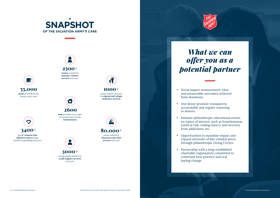



young people assisted by **youth support services** *each year*

3000+

 $\ddot{\phantom{1}}$ 

people **assisted with addiction issues** (drugs, alcohol or gambling) *each year*



**services** *each year*



# *What we can offer you as a potential partner*

*(The Salvation Army SAMIS 2016, figures accurate as of 31 October 2016) 6 | A trusted philanthropic investment A trusted philanthropic investment | 7*



on topics of interest, such as homelessness,



- Social impact measurement: clear and measurable outcomes achieved from donations.
- Our donor promise: transparent, accountable and regular reporting to donors.
- Intimate philanthropic educational events youth at risk, ending slavery and recovery from addictions, etc.
- Opportunities to maximise impact and expand networks of like-minded peers through philanthropic Giving Circles.
- Partnership with a long-established charitable organisation committed to continued best practice and real, lasting change.